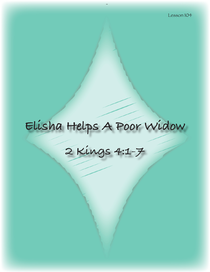# **Elisha Helps A Poor Widow**

**2 Kings 4:1-7**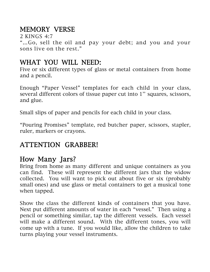# MEMORY VERSE

2 KINGS 4:7 "…Go, sell the oil and pay your debt; and you and your sons live on the rest."

# WHAT YOU WILL NEED:

Five or six different types of glass or metal containers from home and a pencil.

Enough "Paper Vessel" templates for each child in your class, several different colors of tissue paper cut into 1'' squares, scissors, and glue.

Small slips of paper and pencils for each child in your class.

"Pouring Promises" template, red butcher paper, scissors, stapler, ruler, markers or crayons.

# ATTENTION GRABBER!

# How Many Jars?

Bring from home as many different and unique containers as you can find. These will represent the different jars that the widow collected. You will want to pick out about five or six (probably small ones) and use glass or metal containers to get a musical tone when tapped.

Show the class the different kinds of containers that you have. Next put different amounts of water in each "vessel." Then using a pencil or something similar, tap the different vessels. Each vessel will make a different sound. With the different tones, you will come up with a tune. If you would like, allow the children to take turns playing your vessel instruments.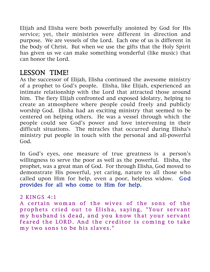Elijah and Elisha were both powerfully anointed by God for His service; yet, their ministries were different in direction and purpose. We are vessels of the Lord. Each one of us is different in the body of Christ. But when we use the gifts that the Holy Spirit has given us we can make something wonderful (like music) that can honor the Lord.

# LESSON TIME!

As the successor of Elijah, Elisha continued the awesome ministry of a prophet to God's people. Elisha, like Elijah, experienced an intimate relationship with the Lord that attracted those around him. The fiery Elijah confronted and exposed idolatry, helping to create an atmosphere where people could freely and publicly worship God. Elisha had an exciting ministry that seemed to be centered on helping others. He was a vessel through which the people could see God's power and love intervening in their difficult situations. The miracles that occurred during Elisha's ministry put people in touch with the personal and all-powerful God.

In God's eyes, one measure of true greatness is a person's willingness to serve the poor as well as the powerful. Elisha, the prophet, was a great man of God. For through Elisha, God moved to demonstrate His powerful, yet caring, nature to all those who called upon Him for help, even a poor, helpless widow. God provides for all who come to Him for help.

### 2 KINGS 4:1

A certain woman of the wives of the sons of the prophets cried out to Elisha, saying, "Your servant my husband is dead, and you know that your servant feared the LORD. And the creditor is coming to take my two sons to be his slaves."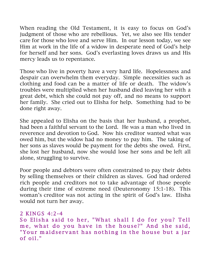When reading the Old Testament, it is easy to focus on God's judgment of those who are rebellious. Yet, we also see His tender care for those who love and serve Him. In our lesson today, we see Him at work in the life of a widow in desperate need of God's help for herself and her sons. God's everlasting loves draws us and His mercy leads us to repentance.

Those who live in poverty have a very hard life. Hopelessness and despair can overwhelm them everyday. Simple necessities such as clothing and food can be a matter of life or death. The widow's troubles were multiplied when her husband died leaving her with a great debt, which she could not pay off, and no means to support her family. She cried out to Elisha for help. Something had to be done right away.

She appealed to Elisha on the basis that her husband, a prophet, had been a faithful servant to the Lord. He was a man who lived in reverence and devotion to God. Now his creditor wanted what was owed him, but the widow had no money to pay him. The taking of her sons as slaves would be payment for the debts she owed. First, she lost her husband, now she would lose her sons and be left all alone, struggling to survive.

Poor people and debtors were often constrained to pay their debts by selling themselves or their children as slaves. God had ordered rich people and creditors not to take advantage of those people during their time of extreme need (Deuteronomy 15:1-18). This woman's creditor was not acting in the spirit of God's law. Elisha would not turn her away.

### 2 KINGS 4:2-4

So Elisha said to her, "What shall I do for you? Tell me, what do you have in the house?" And she said, "Your maidservant has nothing in the house but a jar of oil. "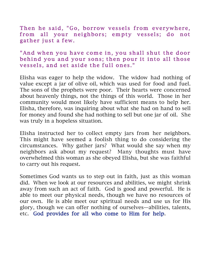Then he said, "Go, borrow vessels from everywhere, from all your neighbors; empty vessels; do not gather just a few.

#### "And when you have come in, you shall shut the door behind you and your sons; then pour it into all those vessels, and set aside the full ones."

Elisha was eager to help the widow. The widow had nothing of value except a jar of olive oil, which was used for food and fuel. The sons of the prophets were poor. Their hearts were concerned about heavenly things, not the things of this world. Those in her community would most likely have sufficient means to help her. Elisha, therefore, was inquiring about what she had on hand to sell for money and found she had nothing to sell but one jar of oil. She was truly in a hopeless situation.

Elisha instructed her to collect empty jars from her neighbors. This might have seemed a foolish thing to do considering the circumstances. Why gather jars? What would she say when my neighbors ask about my request? Many thoughts must have overwhelmed this woman as she obeyed Elisha, but she was faithful to carry out his request.

Sometimes God wants us to step out in faith, just as this woman did. When we look at our resources and abilities, we might shrink away from such an act of faith. God is good and powerful. He is able to meet our physical needs, though we have no resources of our own. He is able meet our spiritual needs and use us for His glory, though we can offer nothing of ourselves—abilities, talents, etc. God provides for all who come to Him for help.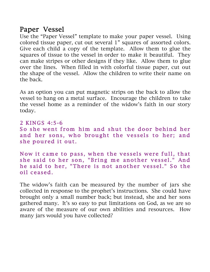# Paper Vessel

Use the "Paper Vessel" template to make your paper vessel. Using colored tissue paper, cut out several 1" squares of assorted colors. Give each child a copy of the template. Allow them to glue the squares of tissue to the vessel in order to make it beautiful. They can make stripes or other designs if they like. Allow them to glue over the lines. When filled in with colorful tissue paper, cut out the shape of the vessel. Allow the children to write their name on the back.

As an option you can put magnetic strips on the back to allow the vessel to hang on a metal surface. Encourage the children to take the vessel home as a reminder of the widow's faith in our story today.

2 KINGS 4:5-6 So she went from him and shut the door behind her and her sons, who brought the vessels to her; and she poured it out.

Now it came to pass, when the vessels were full, that she said to her son, "Bring me another vessel." And he said to her, "There is not another vessel." So the oil ceased.

The widow's faith can be measured by the number of jars she collected in response to the prophet's instructions. She could have brought only a small number back; but instead, she and her sons gathered many. It's so easy to put limitations on God, as we are so aware of the measure of our own abilities and resources. How many jars would you have collected?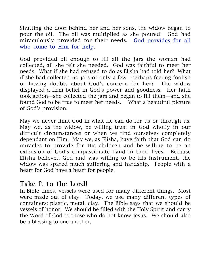Shutting the door behind her and her sons, the widow began to pour the oil. The oil was multiplied as she poured! God had miraculously provided for their needs. God provides for all who come to Him for help.

God provided oil enough to fill all the jars the woman had collected, all she felt she needed. God was faithful to meet her needs. What if she had refused to do as Elisha had told her? What if she had collected no jars or only a few—perhaps feeling foolish or having doubts about God's concern for her? The widow displayed a firm belief in God's power and goodness. Her faith took action—she collected the jars and began to fill them—and she found God to be true to meet her needs. What a beautiful picture of God's provision.

May we never limit God in what He can do for us or through us. May we, as the widow, be willing trust in God wholly in our difficult circumstances or when we find ourselves completely dependant on Him. May we, as Elisha, have faith that God can do miracles to provide for His children and be willing to be an extension of God's compassionate hand in their lives. Because Elisha believed God and was willing to be His instrument, the widow was spared much suffering and hardship. People with a heart for God have a heart for people.

## Take It to the Lord!

In Bible times, vessels were used for many different things. Most were made out of clay. Today, we use many different types of containers: plastic, metal, clay. The Bible says that we should be vessels of honor. We should be filled with the Holy Spirit and carry the Word of God to those who do not know Jesus. We should also be a blessing to one another.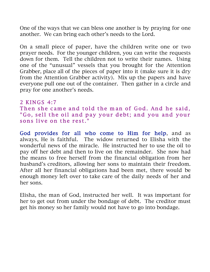One of the ways that we can bless one another is by praying for one another. We can bring each other's needs to the Lord.

On a small piece of paper, have the children write one or two prayer needs. For the younger children, you can write the requests down for them. Tell the children not to write their names. Using one of the "unusual" vessels that you brought for the Attention Grabber, place all of the pieces of paper into it (make sure it is dry from the Attention Grabber activity). Mix up the papers and have everyone pull one out of the container. Then gather in a circle and pray for one another's needs.

```
2 KINGS 4:7
Then she came and told the man of God. And he said,
"Go, sell the oil and pay your debt; and you and your
sons live on the rest."
```
God provides for all who come to Him for help, and as always, He is faithful. The widow returned to Elisha with the wonderful news of the miracle. He instructed her to use the oil to pay off her debt and then to live on the remainder. She now had the means to free herself from the financial obligation from her husband's creditors, allowing her sons to maintain their freedom. After all her financial obligations had been met, there would be enough money left over to take care of the daily needs of her and her sons.

Elisha, the man of God, instructed her well. It was important for her to get out from under the bondage of debt. The creditor must get his money so her family would not have to go into bondage.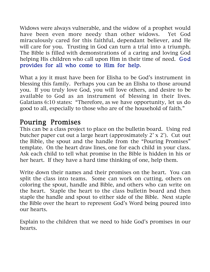Widows were always vulnerable, and the widow of a prophet would have been even more needy than other widows. Yet God miraculously cared for this faithful, dependant believer, and He will care for you. Trusting in God can turn a trial into a triumph. The Bible is filled with demonstrations of a caring and loving God helping His children who call upon Him in their time of need. God provides for all who come to Him for help.

What a joy it must have been for Elisha to be God's instrument in blessing this family. Perhaps you can be an Elisha to those around you. If you truly love God, you will love others, and desire to be available to God as an instrument of blessing in their lives. Galatians 6:10 states: "Therefore, as we have opportunity, let us do good to all, especially to those who are of the household of faith."

# Pouring Promises

This can be a class project to place on the bulletin board. Using red butcher paper cut out a large heart (approximately 2' x 2'). Cut out the Bible, the spout and the handle from the "Pouring Promises" template. On the heart draw lines, one for each child in your class. Ask each child to tell what promise in the Bible is hidden in his or her heart. If they have a hard time thinking of one, help them.

Write down their names and their promises on the heart. You can split the class into teams. Some can work on cutting, others on coloring the spout, handle and Bible, and others who can write on the heart. Staple the heart to the class bulletin board and then staple the handle and spout to either side of the Bible. Next staple the Bible over the heart to represent God's Word being poured into our hearts.

Explain to the children that we need to hide God's promises in our hearts.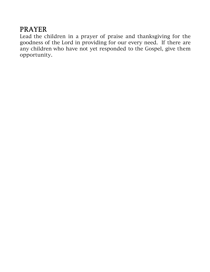# PRAYER

Lead the children in a prayer of praise and thanksgiving for the goodness of the Lord in providing for our every need. If there are any children who have not yet responded to the Gospel, give them opportunity.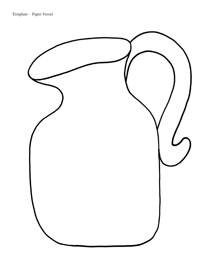